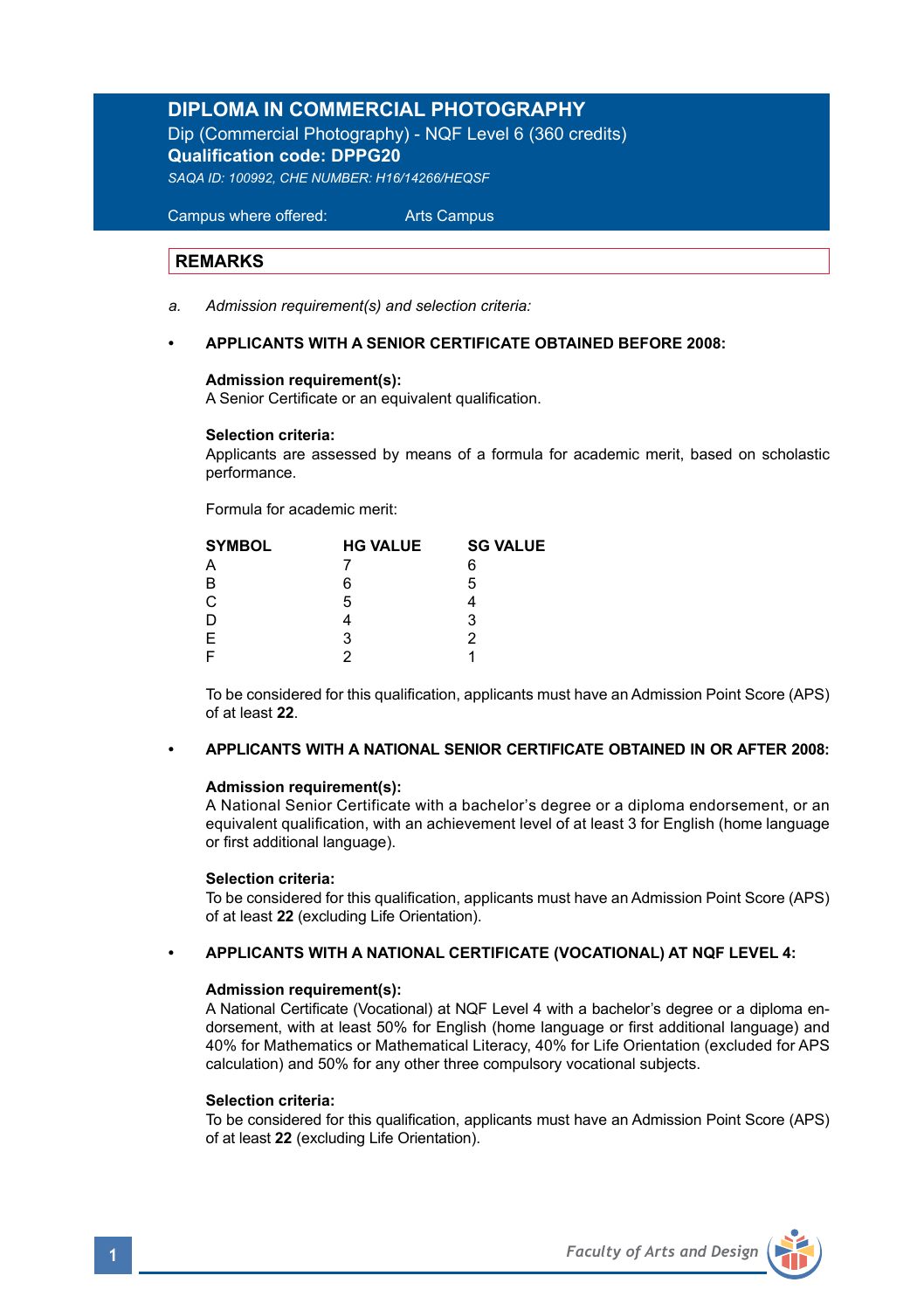# **DIPLOMA IN COMMERCIAL PHOTOGRAPHY**

Dip (Commercial Photography) - NQF Level 6 (360 credits) **Qualification code: DPPG20**  *SAQA ID: 100992, CHE NUMBER: H16/14266/HEQSF*

 Campus where offered: Arts Campus

# **REMARKS**

Ξ

*a. Admission requirement(s) and selection criteria:* 

### **• APPLICANTS WITH A SENIOR CERTIFICATE OBTAINED BEFORE 2008:**

#### **Admission requirement(s):**

A Senior Certificate or an equivalent qualification.

#### **Selection criteria:**

Applicants are assessed by means of a formula for academic merit, based on scholastic performance.

Formula for academic merit:

| <b>SYMBOL</b> | <b>HG VALUE</b> | <b>SG VALUE</b> |
|---------------|-----------------|-----------------|
| Α             |                 | 6               |
| B             | 6               | 5               |
| C             | 5               |                 |
| D             |                 | 3               |
| E             | 3               | 2               |
| F             |                 |                 |

 To be considered for this qualification, applicants must have an Admission Point Score (APS) of at least **22**.

# **• APPLICANTS WITH A NATIONAL SENIOR CERTIFICATE OBTAINED IN OR AFTER 2008:**

### **Admission requirement(s):**

 A National Senior Certificate with a bachelor's degree or a diploma endorsement, or an equivalent qualification, with an achievement level of at least 3 for English (home language or first additional language).

#### **Selection criteria:**

To be considered for this qualification, applicants must have an Admission Point Score (APS) of at least **22** (excluding Life Orientation).

#### **• APPLICANTS WITH A NATIONAL CERTIFICATE (VOCATIONAL) AT NQF LEVEL 4:**

#### **Admission requirement(s):**

 A National Certificate (Vocational) at NQF Level 4 with a bachelor's degree or a diploma en dorsement, with at least 50% for English (home language or first additional language) and 40% for Mathematics or Mathematical Literacy, 40% for Life Orientation (excluded for APS calculation) and 50% for any other three compulsory vocational subjects.

#### **Selection criteria:**

To be considered for this qualification, applicants must have an Admission Point Score (APS) of at least **22** (excluding Life Orientation).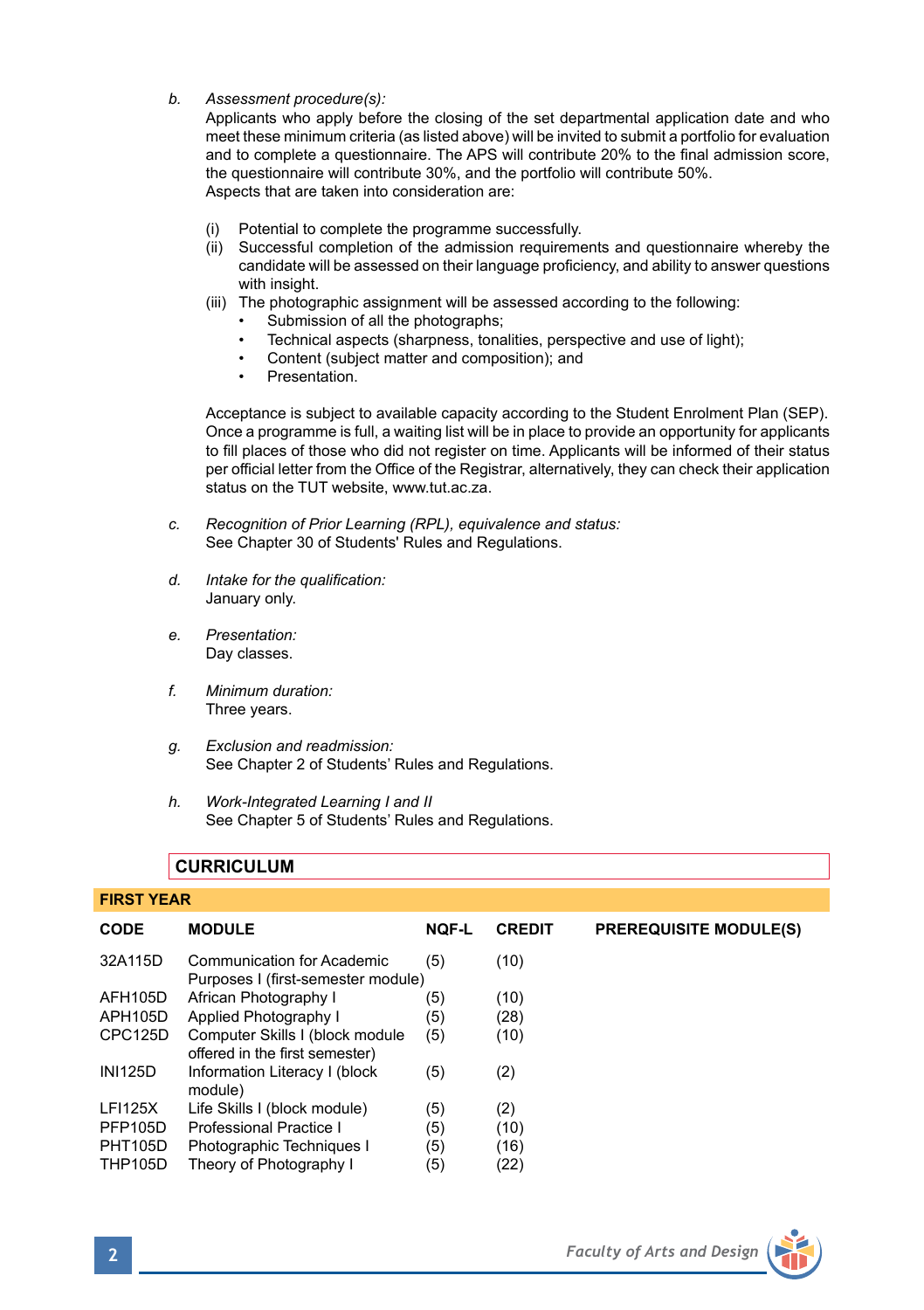*b. Assessment procedure(s):* 

 Applicants who apply before the closing of the set departmental application date and who meet these minimum criteria (as listed above) will be invited to submit a portfolio for evaluation and to complete a questionnaire. The APS will contribute 20% to the final admission score, the questionnaire will contribute 30%, and the portfolio will contribute 50%. Aspects that are taken into consideration are:

- (i) Potential to complete the programme successfully.
- (ii) Successful completion of the admission requirements and questionnaire whereby the candidate will be assessed on their language proficiency, and ability to answer questions with insight.
- (iii) The photographic assignment will be assessed according to the following:
	- Submission of all the photographs;
	- Technical aspects (sharpness, tonalities, perspective and use of light);
	- Content (subject matter and composition); and
	- **Presentation**

 Acceptance is subject to available capacity according to the Student Enrolment Plan (SEP). Once a programme is full, a waiting list will be in place to provide an opportunity for applicants to fill places of those who did not register on time. Applicants will be informed of their status per official letter from the Office of the Registrar, alternatively, they can check their application status on the TUT website, www.tut.ac.za.

- *c. Recognition of Prior Learning (RPL), equivalence and status:* See Chapter 30 of Students' Rules and Regulations.
- *d. Intake for the qualification:* January only.
- *e. Presentation:* Day classes.
- *f. Minimum duration:* Three years.
- *g. Exclusion and readmission:* See Chapter 2 of Students' Rules and Regulations.
- *h. Work-Integrated Learning I and II*  See Chapter 5 of Students' Rules and Regulations.

# **CURRICULUM**

#### **FIRST YEAR**

| CODE           | <b>MODULE</b>                                                     | <b>NOF-L</b> | <b>CREDIT</b> | <b>PREREQUISITE MODULE(S)</b> |
|----------------|-------------------------------------------------------------------|--------------|---------------|-------------------------------|
| 32A115D        | Communication for Academic<br>Purposes I (first-semester module)  | (5)          | (10)          |                               |
| AFH105D        | African Photography I                                             | (5)          | (10)          |                               |
| APH105D        | Applied Photography I                                             | (5)          | (28)          |                               |
| CPC125D        | Computer Skills I (block module<br>offered in the first semester) | (5)          | (10)          |                               |
| <b>INI125D</b> | Information Literacy I (block<br>module)                          | (5)          | (2)           |                               |
| <b>LFI125X</b> | Life Skills I (block module)                                      | (5)          | (2)           |                               |
| <b>PFP105D</b> | <b>Professional Practice I</b>                                    | (5)          | (10)          |                               |
| <b>PHT105D</b> | Photographic Techniques I                                         | (5)          | (16)          |                               |
| <b>THP105D</b> | Theory of Photography I                                           | (5)          | (22)          |                               |

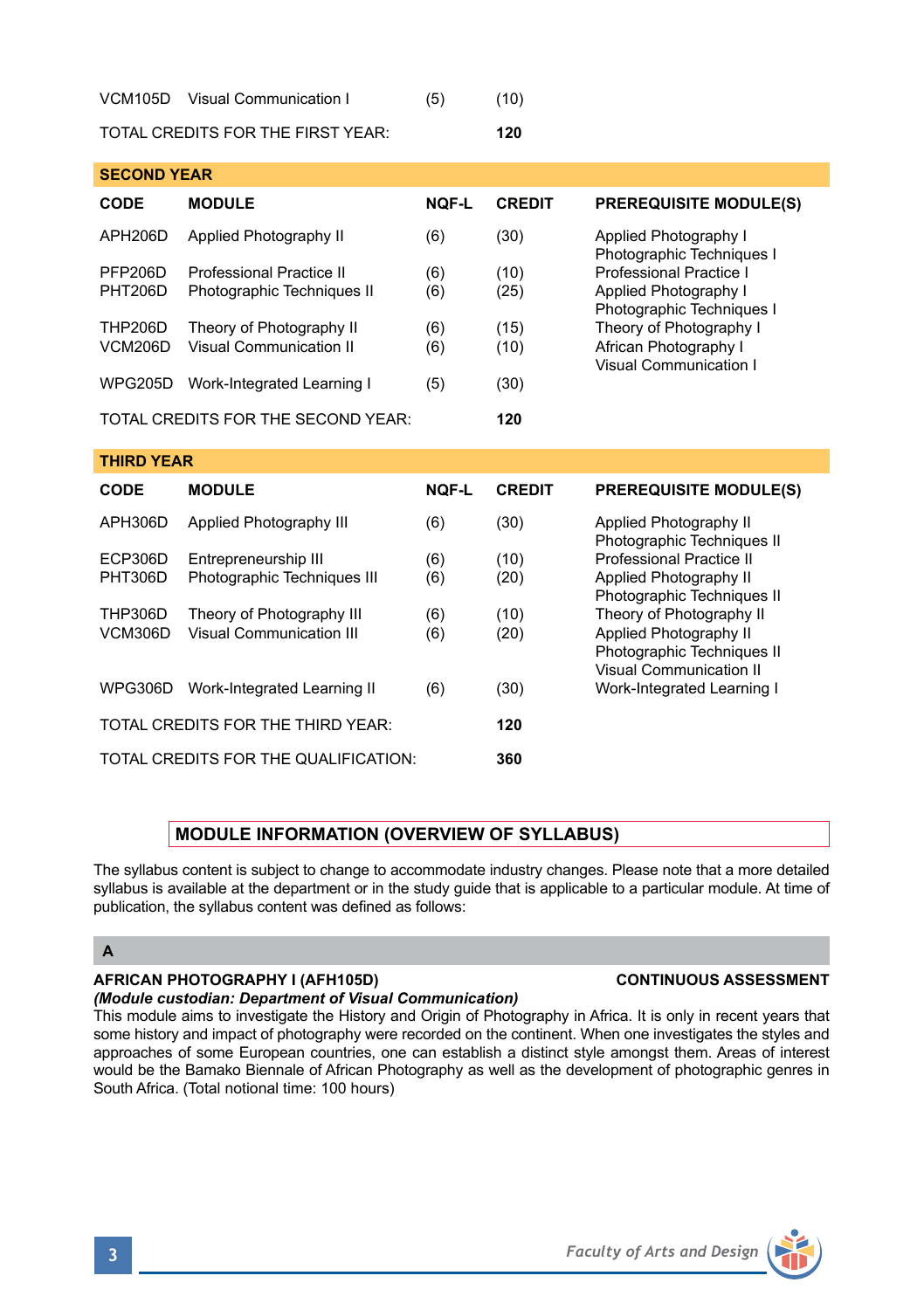| VCM105D | Visual Communication I | (5) | (10) |
|---------|------------------------|-----|------|
|         |                        |     |      |

TOTAL CREDITS FOR THE FIRST YEAR: **120**

| <b>SECOND YEAR</b> |                                    |              |               |                                                    |
|--------------------|------------------------------------|--------------|---------------|----------------------------------------------------|
| <b>CODE</b>        | <b>MODULE</b>                      | <b>NOF-L</b> | <b>CREDIT</b> | <b>PREREQUISITE MODULE(S)</b>                      |
| APH206D            | Applied Photography II             | (6)          | (30)          | Applied Photography I<br>Photographic Techniques I |
| PFP206D            | Professional Practice II           | (6)          | (10)          | Professional Practice I                            |
| <b>PHT206D</b>     | Photographic Techniques II         | (6)          | (25)          | Applied Photography I<br>Photographic Techniques I |
| <b>THP206D</b>     | Theory of Photography II           | (6)          | (15)          | Theory of Photography I                            |
| <b>VCM206D</b>     | Visual Communication II            | (6)          | (10)          | African Photography I<br>Visual Communication I    |
| <b>WPG205D</b>     | Work-Integrated Learning I         | (5)          | (30)          |                                                    |
|                    | TOTAL CREDITS FOR THE SECOND YEAR: |              | 120           |                                                    |

| <b>CODE</b>                          | <b>MODULE</b>                                       | <b>NOF-L</b> | <b>CREDIT</b> | <b>PREREQUISITE MODULE(S)</b>                                                   |
|--------------------------------------|-----------------------------------------------------|--------------|---------------|---------------------------------------------------------------------------------|
| APH306D                              | Applied Photography III                             | (6)          | (30)          | Applied Photography II<br>Photographic Techniques II                            |
| ECP306D<br><b>PHT306D</b>            | Entrepreneurship III<br>Photographic Techniques III | (6)<br>(6)   | (10)<br>(20)  | Professional Practice II<br>Applied Photography II                              |
| <b>THP306D</b>                       | Theory of Photography III                           | (6)          | (10)          | Photographic Techniques II<br>Theory of Photography II                          |
| VCM306D                              | Visual Communication III                            | (6)          | (20)          | Applied Photography II<br>Photographic Techniques II<br>Visual Communication II |
| WPG306D                              | Work-Integrated Learning II                         | (6)          | (30)          | Work-Integrated Learning I                                                      |
| TOTAL CREDITS FOR THE THIRD YEAR:    |                                                     |              | 120           |                                                                                 |
| TOTAL CREDITS FOR THE QUALIFICATION: |                                                     |              | 360           |                                                                                 |
|                                      |                                                     |              |               |                                                                                 |

# **MODULE INFORMATION (OVERVIEW OF SYLLABUS)**

The syllabus content is subject to change to accommodate industry changes. Please note that a more detailed syllabus is available at the department or in the study guide that is applicable to a particular module. At time of publication, the syllabus content was defined as follows:

# **A**

**THIRD YEAR** 

# **AFRICAN PHOTOGRAPHY I (AFH105D) CONTINUOUS ASSESSMENT**

*(Module custodian: Department of Visual Communication)*

This module aims to investigate the History and Origin of Photography in Africa. It is only in recent years that some history and impact of photography were recorded on the continent. When one investigates the styles and approaches of some European countries, one can establish a distinct style amongst them. Areas of interest would be the Bamako Biennale of African Photography as well as the development of photographic genres in South Africa. (Total notional time: 100 hours)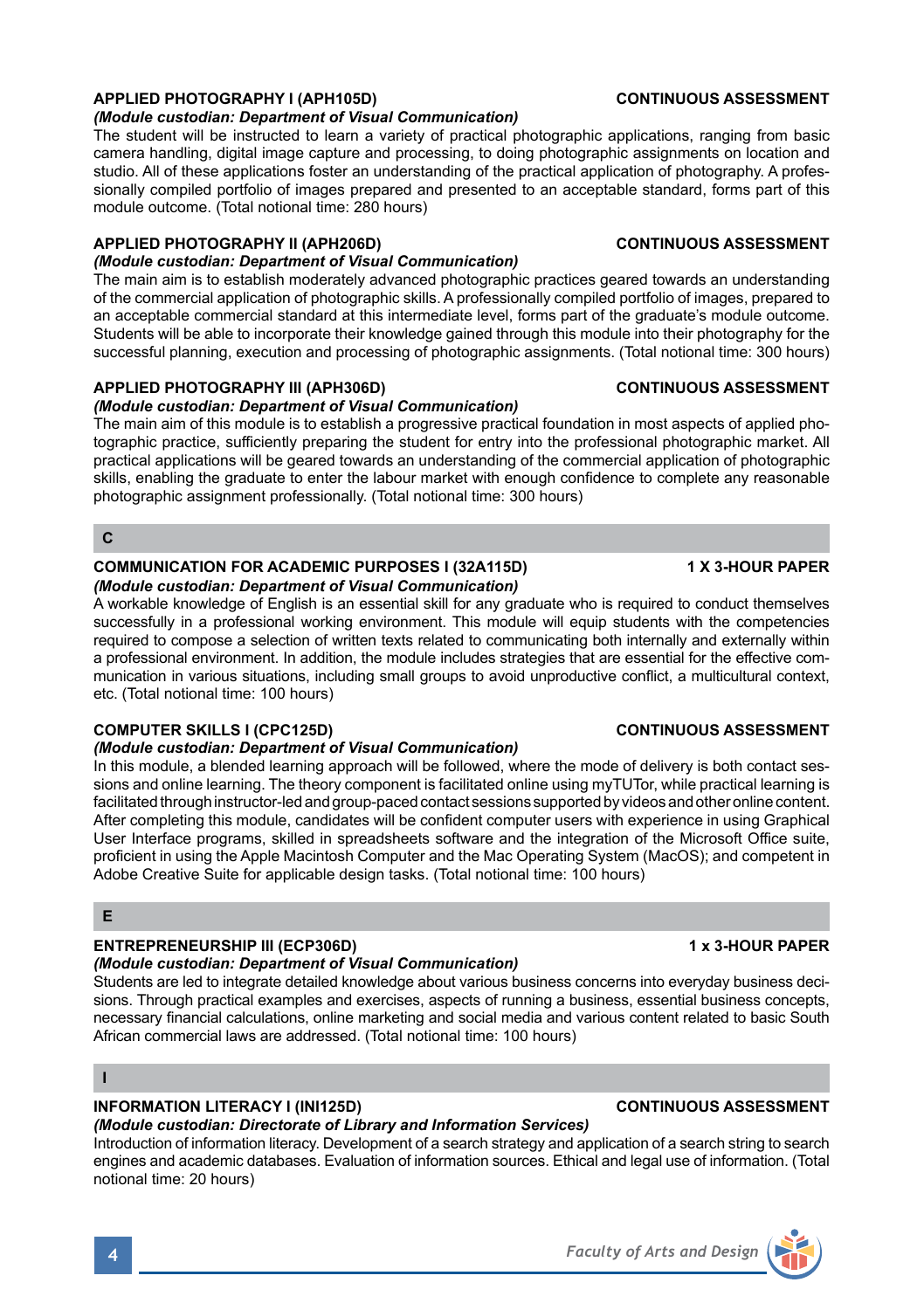# **APPLIED PHOTOGRAPHY I (APH105D) CONTINUOUS ASSESSMENT**

*(Module custodian: Department of Visual Communication)*

The student will be instructed to learn a variety of practical photographic applications, ranging from basic camera handling, digital image capture and processing, to doing photographic assignments on location and studio. All of these applications foster an understanding of the practical application of photography. A professionally compiled portfolio of images prepared and presented to an acceptable standard, forms part of this module outcome. (Total notional time: 280 hours)

### **APPLIED PHOTOGRAPHY II (APH206D) CONTINUOUS ASSESSMENT**

### *(Module custodian: Department of Visual Communication)*

The main aim is to establish moderately advanced photographic practices geared towards an understanding of the commercial application of photographic skills. A professionally compiled portfolio of images, prepared to an acceptable commercial standard at this intermediate level, forms part of the graduate's module outcome. Students will be able to incorporate their knowledge gained through this module into their photography for the successful planning, execution and processing of photographic assignments. (Total notional time: 300 hours)

# **APPLIED PHOTOGRAPHY III (APH306D) CONTINUOUS ASSESSMENT**

*(Module custodian: Department of Visual Communication)*

The main aim of this module is to establish a progressive practical foundation in most aspects of applied photographic practice, sufficiently preparing the student for entry into the professional photographic market. All practical applications will be geared towards an understanding of the commercial application of photographic skills, enabling the graduate to enter the labour market with enough confidence to complete any reasonable photographic assignment professionally. (Total notional time: 300 hours)

### **C**

#### **COMMUNICATION FOR ACADEMIC PURPOSES I (32A115D) 4 X 3-HOUR PAPER** *(Module custodian: Department of Visual Communication)*

A workable knowledge of English is an essential skill for any graduate who is required to conduct themselves successfully in a professional working environment. This module will equip students with the competencies required to compose a selection of written texts related to communicating both internally and externally within a professional environment. In addition, the module includes strategies that are essential for the effective communication in various situations, including small groups to avoid unproductive conflict, a multicultural context, etc. (Total notional time: 100 hours)

## **COMPUTER SKILLS I (CPC125D) CONTINUOUS ASSESSMENT**

### *(Module custodian: Department of Visual Communication)*

In this module, a blended learning approach will be followed, where the mode of delivery is both contact sessions and online learning. The theory component is facilitated online using myTUTor, while practical learning is facilitated through instructor-led and group-paced contact sessions supported by videos and other online content. After completing this module, candidates will be confident computer users with experience in using Graphical User Interface programs, skilled in spreadsheets software and the integration of the Microsoft Office suite, proficient in using the Apple Macintosh Computer and the Mac Operating System (MacOS); and competent in Adobe Creative Suite for applicable design tasks. (Total notional time: 100 hours)

## **E**

# **ENTREPRENEURSHIP III (ECP306D) 1 x 3-HOUR PAPER**

#### *(Module custodian: Department of Visual Communication)*

Students are led to integrate detailed knowledge about various business concerns into everyday business decisions. Through practical examples and exercises, aspects of running a business, essential business concepts, necessary financial calculations, online marketing and social media and various content related to basic South African commercial laws are addressed. (Total notional time: 100 hours)

**I**

# **INFORMATION LITERACY I (INI125D) CONTINUOUS ASSESSMENT**

## *(Module custodian: Directorate of Library and Information Services)*

Introduction of information literacy. Development of a search strategy and application of a search string to search engines and academic databases. Evaluation of information sources. Ethical and legal use of information. (Total notional time: 20 hours)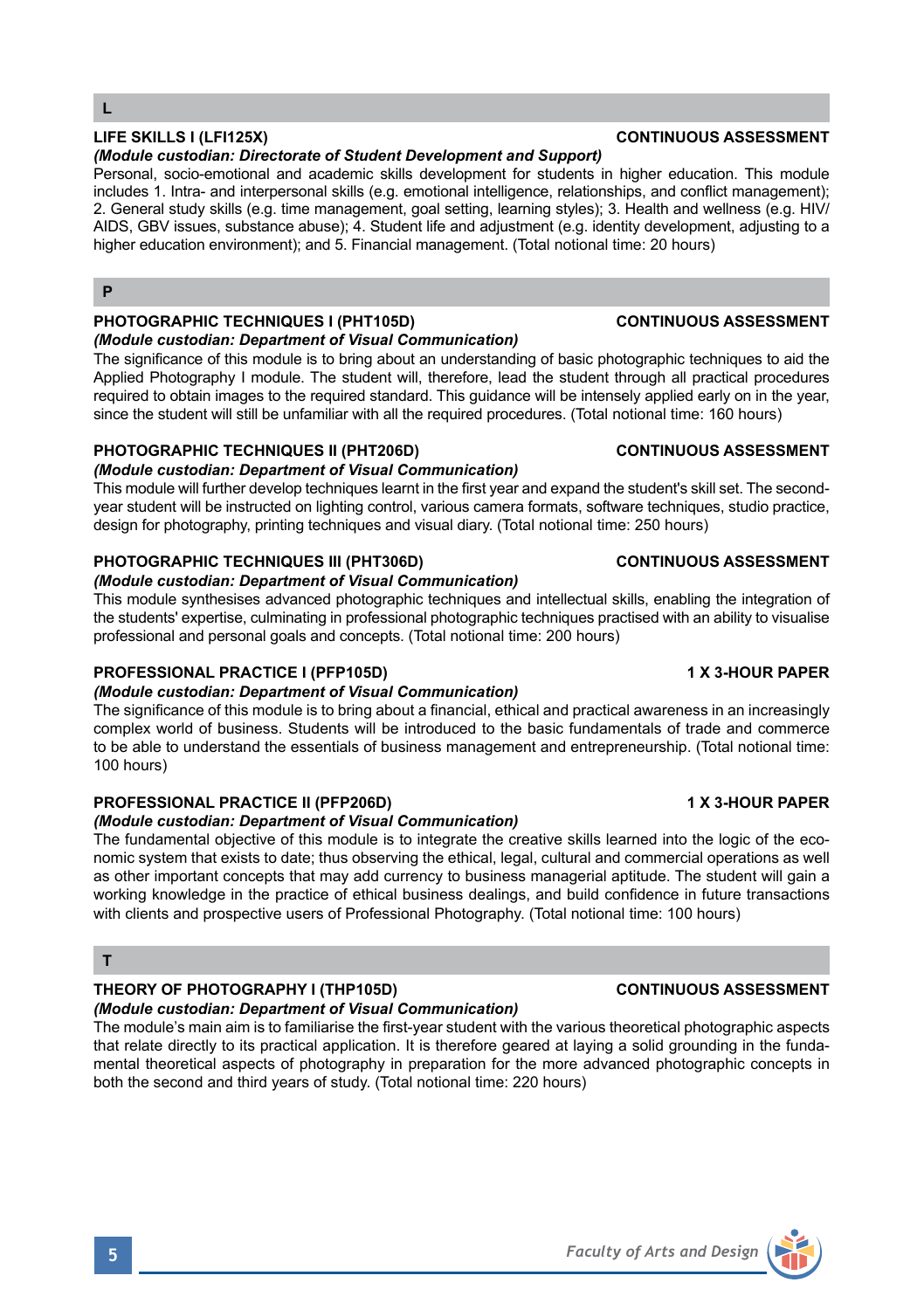### *(Module custodian: Directorate of Student Development and Support)*

Personal, socio-emotional and academic skills development for students in higher education. This module includes 1. Intra- and interpersonal skills (e.g. emotional intelligence, relationships, and conflict management); 2. General study skills (e.g. time management, goal setting, learning styles); 3. Health and wellness (e.g. HIV/ AIDS, GBV issues, substance abuse); 4. Student life and adjustment (e.g. identity development, adjusting to a higher education environment); and 5. Financial management. (Total notional time: 20 hours)

# **P**

# **PHOTOGRAPHIC TECHNIQUES I (PHT105D) CONTINUOUS ASSESSMENT**

### *(Module custodian: Department of Visual Communication)*

The significance of this module is to bring about an understanding of basic photographic techniques to aid the Applied Photography I module. The student will, therefore, lead the student through all practical procedures required to obtain images to the required standard. This guidance will be intensely applied early on in the year, since the student will still be unfamiliar with all the required procedures. (Total notional time: 160 hours)

# **PHOTOGRAPHIC TECHNIQUES II (PHT206D) CONTINUOUS ASSESSMENT**

## *(Module custodian: Department of Visual Communication)*

This module will further develop techniques learnt in the first year and expand the student's skill set. The secondyear student will be instructed on lighting control, various camera formats, software techniques, studio practice, design for photography, printing techniques and visual diary. (Total notional time: 250 hours)

# **PHOTOGRAPHIC TECHNIQUES III (PHT306D) CONTINUOUS ASSESSMENT**

#### *(Module custodian: Department of Visual Communication)*

This module synthesises advanced photographic techniques and intellectual skills, enabling the integration of the students' expertise, culminating in professional photographic techniques practised with an ability to visualise professional and personal goals and concepts. (Total notional time: 200 hours)

## **PROFESSIONAL PRACTICE I (PFP105D) 1 X 3-HOUR PAPER**

## *(Module custodian: Department of Visual Communication)*

The significance of this module is to bring about a financial, ethical and practical awareness in an increasingly complex world of business. Students will be introduced to the basic fundamentals of trade and commerce to be able to understand the essentials of business management and entrepreneurship. (Total notional time: 100 hours)

# **PROFESSIONAL PRACTICE II (PFP206D) 1 X 3-HOUR PAPER**

## *(Module custodian: Department of Visual Communication)*

The fundamental objective of this module is to integrate the creative skills learned into the logic of the economic system that exists to date; thus observing the ethical, legal, cultural and commercial operations as well as other important concepts that may add currency to business managerial aptitude. The student will gain a working knowledge in the practice of ethical business dealings, and build confidence in future transactions with clients and prospective users of Professional Photography. (Total notional time: 100 hours)

## **T**

# **THEORY OF PHOTOGRAPHY I (THP105D) CONTINUOUS ASSESSMENT**

*(Module custodian: Department of Visual Communication)* The module's main aim is to familiarise the first-year student with the various theoretical photographic aspects that relate directly to its practical application. It is therefore geared at laying a solid grounding in the fundamental theoretical aspects of photography in preparation for the more advanced photographic concepts in both the second and third years of study. (Total notional time: 220 hours)



### **LIFE SKILLS I (LFI125X) CONTINUOUS ASSESSMENT**